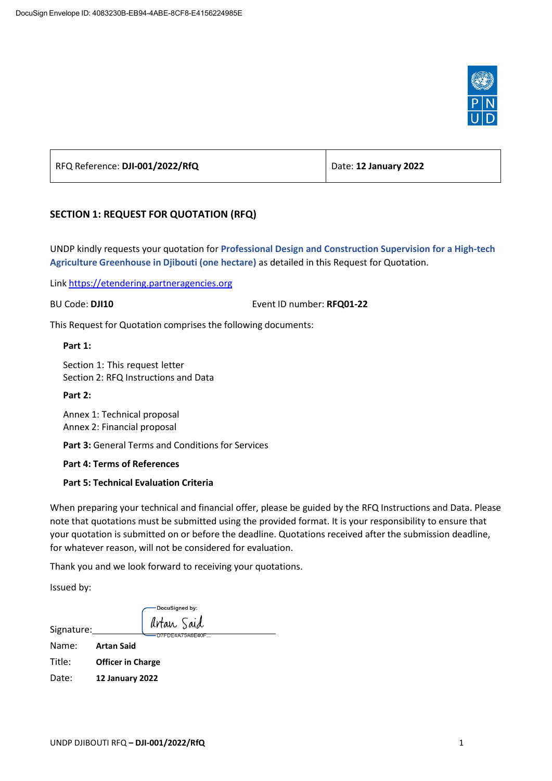

| RFQ Reference: DJI-001/2022/RfQ | Date: 12 January 2022 |
|---------------------------------|-----------------------|
|                                 |                       |

# **SECTION 1: REQUEST FOR QUOTATION (RFQ)**

UNDP kindly requests your quotation for **Professional Design and Construction Supervision for a High-tech Agriculture Greenhouse in Djibouti (one hectare)** as detailed in this Request for Quotation.

Link [https://etendering.partneragencies.org](https://etendering.partneragencies.org/)

BU Code: **DJI10** Event ID number: **RFQ01-22**

This Request for Quotation comprises the following documents:

**Part 1:**

Section 1: This request letter Section 2: RFQ Instructions and Data

**Part 2:**

Annex 1: Technical proposal Annex 2: Financial proposal

**Part 3:** General Terms and Conditions for Services

**Part 4: Terms of References**

### **Part 5: Technical Evaluation Criteria**

When preparing your technical and financial offer, please be guided by the RFQ Instructions and Data. Please note that quotations must be submitted using the provided format. It is your responsibility to ensure that your quotation is submitted on or before the deadline. Quotations received after the submission deadline, for whatever reason, will not be considered for evaluation.

Thank you and we look forward to receiving your quotations.

Issued by:

|            | DocuSigned by:           |
|------------|--------------------------|
| Signature: | Artan Said               |
|            | DE4A/5A6E40F             |
| Name:      | <b>Artan Said</b>        |
| Title:     | <b>Officer in Charge</b> |
| Date:      | 12 January 2022          |
|            |                          |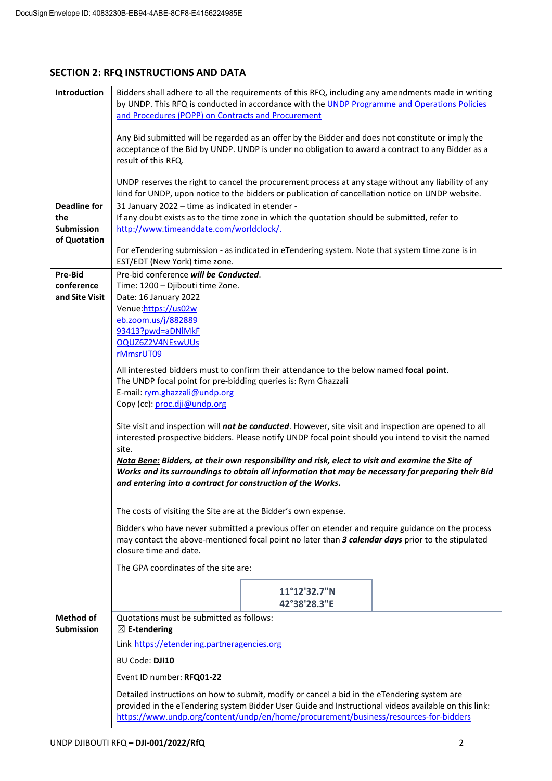# **SECTION 2: RFQ INSTRUCTIONS AND DATA**

| Introduction             | Bidders shall adhere to all the requirements of this RFQ, including any amendments made in writing<br>by UNDP. This RFQ is conducted in accordance with the UNDP Programme and Operations Policies<br>and Procedures (POPP) on Contracts and Procurement                                    |  |  |  |
|--------------------------|---------------------------------------------------------------------------------------------------------------------------------------------------------------------------------------------------------------------------------------------------------------------------------------------|--|--|--|
|                          | Any Bid submitted will be regarded as an offer by the Bidder and does not constitute or imply the<br>acceptance of the Bid by UNDP. UNDP is under no obligation to award a contract to any Bidder as a<br>result of this RFQ.                                                               |  |  |  |
|                          | UNDP reserves the right to cancel the procurement process at any stage without any liability of any<br>kind for UNDP, upon notice to the bidders or publication of cancellation notice on UNDP website.                                                                                     |  |  |  |
| <b>Deadline for</b>      | 31 January 2022 - time as indicated in etender -                                                                                                                                                                                                                                            |  |  |  |
| the<br><b>Submission</b> | If any doubt exists as to the time zone in which the quotation should be submitted, refer to<br>http://www.timeanddate.com/worldclock/.                                                                                                                                                     |  |  |  |
| of Quotation             |                                                                                                                                                                                                                                                                                             |  |  |  |
|                          | For eTendering submission - as indicated in eTendering system. Note that system time zone is in                                                                                                                                                                                             |  |  |  |
| Pre-Bid                  | EST/EDT (New York) time zone.<br>Pre-bid conference will be Conducted.                                                                                                                                                                                                                      |  |  |  |
| conference               | Time: 1200 - Djibouti time Zone.                                                                                                                                                                                                                                                            |  |  |  |
| and Site Visit           | Date: 16 January 2022                                                                                                                                                                                                                                                                       |  |  |  |
|                          | Venue:https://us02w                                                                                                                                                                                                                                                                         |  |  |  |
|                          | eb.zoom.us/j/882889<br>93413?pwd=aDNlMkF                                                                                                                                                                                                                                                    |  |  |  |
|                          | OQUZ6Z2V4NEswUUs                                                                                                                                                                                                                                                                            |  |  |  |
|                          | rMmsrUT09                                                                                                                                                                                                                                                                                   |  |  |  |
|                          | All interested bidders must to confirm their attendance to the below named focal point.<br>The UNDP focal point for pre-bidding queries is: Rym Ghazzali<br>E-mail: rym.ghazzali@undp.org                                                                                                   |  |  |  |
|                          | Copy (cc): proc.dji@undp.org                                                                                                                                                                                                                                                                |  |  |  |
|                          | Site visit and inspection will <i>not be conducted</i> . However, site visit and inspection are opened to all<br>interested prospective bidders. Please notify UNDP focal point should you intend to visit the named<br>site.                                                               |  |  |  |
|                          | Nota Bene: Bidders, at their own responsibility and risk, elect to visit and examine the Site of<br>Works and its surroundings to obtain all information that may be necessary for preparing their Bid<br>and entering into a contract for construction of the Works.                       |  |  |  |
|                          | The costs of visiting the Site are at the Bidder's own expense.                                                                                                                                                                                                                             |  |  |  |
|                          | Bidders who have never submitted a previous offer on etender and require guidance on the process<br>may contact the above-mentioned focal point no later than 3 calendar days prior to the stipulated<br>closure time and date.                                                             |  |  |  |
|                          | The GPA coordinates of the site are:                                                                                                                                                                                                                                                        |  |  |  |
|                          | 11°12'32.7"N<br>42°38'28.3"E                                                                                                                                                                                                                                                                |  |  |  |
| <b>Method of</b>         | Quotations must be submitted as follows:                                                                                                                                                                                                                                                    |  |  |  |
| <b>Submission</b>        | $\boxtimes$ E-tendering                                                                                                                                                                                                                                                                     |  |  |  |
|                          | Link https://etendering.partneragencies.org                                                                                                                                                                                                                                                 |  |  |  |
|                          | BU Code: DJI10                                                                                                                                                                                                                                                                              |  |  |  |
|                          | Event ID number: RFQ01-22                                                                                                                                                                                                                                                                   |  |  |  |
|                          | Detailed instructions on how to submit, modify or cancel a bid in the eTendering system are<br>provided in the eTendering system Bidder User Guide and Instructional videos available on this link:<br>https://www.undp.org/content/undp/en/home/procurement/business/resources-for-bidders |  |  |  |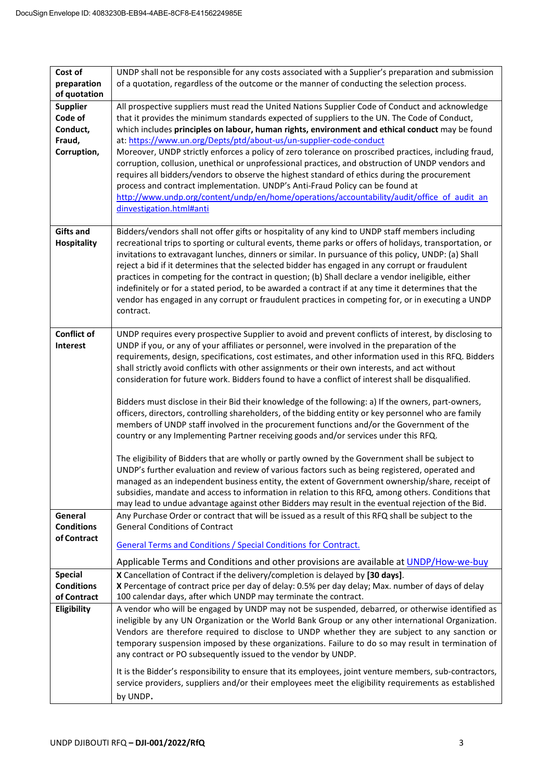| Cost of<br>preparation<br>of quotation                          | UNDP shall not be responsible for any costs associated with a Supplier's preparation and submission<br>of a quotation, regardless of the outcome or the manner of conducting the selection process.                                                                                                                                                                                                                                                                                                                                                                                                                                                                                                                                                                                                                                                                                                                                                                                                                                                                                                                                                                                                                                                                                                                                                                                                                                           |
|-----------------------------------------------------------------|-----------------------------------------------------------------------------------------------------------------------------------------------------------------------------------------------------------------------------------------------------------------------------------------------------------------------------------------------------------------------------------------------------------------------------------------------------------------------------------------------------------------------------------------------------------------------------------------------------------------------------------------------------------------------------------------------------------------------------------------------------------------------------------------------------------------------------------------------------------------------------------------------------------------------------------------------------------------------------------------------------------------------------------------------------------------------------------------------------------------------------------------------------------------------------------------------------------------------------------------------------------------------------------------------------------------------------------------------------------------------------------------------------------------------------------------------|
| <b>Supplier</b><br>Code of<br>Conduct,<br>Fraud,<br>Corruption, | All prospective suppliers must read the United Nations Supplier Code of Conduct and acknowledge<br>that it provides the minimum standards expected of suppliers to the UN. The Code of Conduct,<br>which includes principles on labour, human rights, environment and ethical conduct may be found<br>at: https://www.un.org/Depts/ptd/about-us/un-supplier-code-conduct<br>Moreover, UNDP strictly enforces a policy of zero tolerance on proscribed practices, including fraud,<br>corruption, collusion, unethical or unprofessional practices, and obstruction of UNDP vendors and<br>requires all bidders/vendors to observe the highest standard of ethics during the procurement<br>process and contract implementation. UNDP's Anti-Fraud Policy can be found at<br>http://www.undp.org/content/undp/en/home/operations/accountability/audit/office of audit an<br>dinvestigation.html#anti                                                                                                                                                                                                                                                                                                                                                                                                                                                                                                                                           |
| <b>Gifts and</b><br>Hospitality                                 | Bidders/vendors shall not offer gifts or hospitality of any kind to UNDP staff members including<br>recreational trips to sporting or cultural events, theme parks or offers of holidays, transportation, or<br>invitations to extravagant lunches, dinners or similar. In pursuance of this policy, UNDP: (a) Shall<br>reject a bid if it determines that the selected bidder has engaged in any corrupt or fraudulent<br>practices in competing for the contract in question; (b) Shall declare a vendor ineligible, either<br>indefinitely or for a stated period, to be awarded a contract if at any time it determines that the<br>vendor has engaged in any corrupt or fraudulent practices in competing for, or in executing a UNDP<br>contract.                                                                                                                                                                                                                                                                                                                                                                                                                                                                                                                                                                                                                                                                                       |
| <b>Conflict of</b><br><b>Interest</b>                           | UNDP requires every prospective Supplier to avoid and prevent conflicts of interest, by disclosing to<br>UNDP if you, or any of your affiliates or personnel, were involved in the preparation of the<br>requirements, design, specifications, cost estimates, and other information used in this RFQ. Bidders<br>shall strictly avoid conflicts with other assignments or their own interests, and act without<br>consideration for future work. Bidders found to have a conflict of interest shall be disqualified.<br>Bidders must disclose in their Bid their knowledge of the following: a) If the owners, part-owners,<br>officers, directors, controlling shareholders, of the bidding entity or key personnel who are family<br>members of UNDP staff involved in the procurement functions and/or the Government of the<br>country or any Implementing Partner receiving goods and/or services under this RFQ.<br>The eligibility of Bidders that are wholly or partly owned by the Government shall be subject to<br>UNDP's further evaluation and review of various factors such as being registered, operated and<br>managed as an independent business entity, the extent of Government ownership/share, receipt of<br>subsidies, mandate and access to information in relation to this RFQ, among others. Conditions that<br>may lead to undue advantage against other Bidders may result in the eventual rejection of the Bid. |
| General<br><b>Conditions</b><br>of Contract                     | Any Purchase Order or contract that will be issued as a result of this RFQ shall be subject to the<br><b>General Conditions of Contract</b><br><b>General Terms and Conditions / Special Conditions for Contract.</b><br>Applicable Terms and Conditions and other provisions are available at UNDP/How-we-buy                                                                                                                                                                                                                                                                                                                                                                                                                                                                                                                                                                                                                                                                                                                                                                                                                                                                                                                                                                                                                                                                                                                                |
| <b>Special</b><br><b>Conditions</b><br>of Contract              | X Cancellation of Contract if the delivery/completion is delayed by [30 days].<br>X Percentage of contract price per day of delay: 0.5% per day delay; Max. number of days of delay<br>100 calendar days, after which UNDP may terminate the contract.                                                                                                                                                                                                                                                                                                                                                                                                                                                                                                                                                                                                                                                                                                                                                                                                                                                                                                                                                                                                                                                                                                                                                                                        |
| Eligibility                                                     | A vendor who will be engaged by UNDP may not be suspended, debarred, or otherwise identified as<br>ineligible by any UN Organization or the World Bank Group or any other international Organization.<br>Vendors are therefore required to disclose to UNDP whether they are subject to any sanction or<br>temporary suspension imposed by these organizations. Failure to do so may result in termination of<br>any contract or PO subsequently issued to the vendor by UNDP.                                                                                                                                                                                                                                                                                                                                                                                                                                                                                                                                                                                                                                                                                                                                                                                                                                                                                                                                                                |
|                                                                 | It is the Bidder's responsibility to ensure that its employees, joint venture members, sub-contractors,<br>service providers, suppliers and/or their employees meet the eligibility requirements as established<br>by UNDP.                                                                                                                                                                                                                                                                                                                                                                                                                                                                                                                                                                                                                                                                                                                                                                                                                                                                                                                                                                                                                                                                                                                                                                                                                   |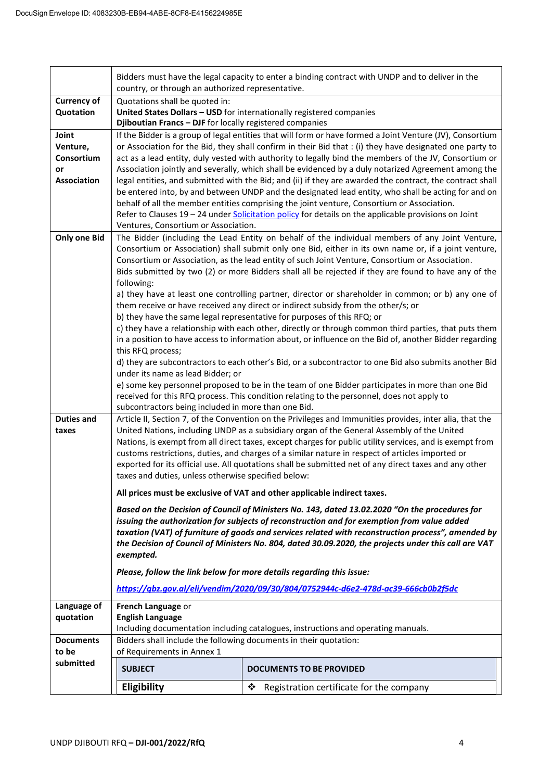|                                                             | Bidders must have the legal capacity to enter a binding contract with UNDP and to deliver in the<br>country, or through an authorized representative.                                                                                                                                                                                                                                                                                                                                                                                                                                                                                                                                                                                                                                                                                                                                                                                                                                                                                                                                                                                                                                                                                                                                            |                                               |  |  |
|-------------------------------------------------------------|--------------------------------------------------------------------------------------------------------------------------------------------------------------------------------------------------------------------------------------------------------------------------------------------------------------------------------------------------------------------------------------------------------------------------------------------------------------------------------------------------------------------------------------------------------------------------------------------------------------------------------------------------------------------------------------------------------------------------------------------------------------------------------------------------------------------------------------------------------------------------------------------------------------------------------------------------------------------------------------------------------------------------------------------------------------------------------------------------------------------------------------------------------------------------------------------------------------------------------------------------------------------------------------------------|-----------------------------------------------|--|--|
| <b>Currency of</b><br>Quotation                             | Quotations shall be quoted in:<br>United States Dollars - USD for internationally registered companies<br>Djiboutian Francs - DJF for locally registered companies                                                                                                                                                                                                                                                                                                                                                                                                                                                                                                                                                                                                                                                                                                                                                                                                                                                                                                                                                                                                                                                                                                                               |                                               |  |  |
| Joint<br>Venture,<br>Consortium<br>or<br><b>Association</b> | If the Bidder is a group of legal entities that will form or have formed a Joint Venture (JV), Consortium<br>or Association for the Bid, they shall confirm in their Bid that : (i) they have designated one party to<br>act as a lead entity, duly vested with authority to legally bind the members of the JV, Consortium or<br>Association jointly and severally, which shall be evidenced by a duly notarized Agreement among the<br>legal entities, and submitted with the Bid; and (ii) if they are awarded the contract, the contract shall<br>be entered into, by and between UNDP and the designated lead entity, who shall be acting for and on<br>behalf of all the member entities comprising the joint venture, Consortium or Association.<br>Refer to Clauses 19 - 24 under Solicitation policy for details on the applicable provisions on Joint<br>Ventures, Consortium or Association.                                                                                                                                                                                                                                                                                                                                                                                          |                                               |  |  |
| <b>Only one Bid</b>                                         | The Bidder (including the Lead Entity on behalf of the individual members of any Joint Venture,<br>Consortium or Association) shall submit only one Bid, either in its own name or, if a joint venture,<br>Consortium or Association, as the lead entity of such Joint Venture, Consortium or Association.<br>Bids submitted by two (2) or more Bidders shall all be rejected if they are found to have any of the<br>following:<br>a) they have at least one controlling partner, director or shareholder in common; or b) any one of<br>them receive or have received any direct or indirect subsidy from the other/s; or<br>b) they have the same legal representative for purposes of this RFQ; or<br>c) they have a relationship with each other, directly or through common third parties, that puts them<br>in a position to have access to information about, or influence on the Bid of, another Bidder regarding<br>this RFQ process;<br>d) they are subcontractors to each other's Bid, or a subcontractor to one Bid also submits another Bid<br>under its name as lead Bidder; or<br>e) some key personnel proposed to be in the team of one Bidder participates in more than one Bid<br>received for this RFQ process. This condition relating to the personnel, does not apply to |                                               |  |  |
| <b>Duties and</b><br>taxes                                  | Article II, Section 7, of the Convention on the Privileges and Immunities provides, inter alia, that the<br>United Nations, including UNDP as a subsidiary organ of the General Assembly of the United<br>Nations, is exempt from all direct taxes, except charges for public utility services, and is exempt from<br>customs restrictions, duties, and charges of a similar nature in respect of articles imported or<br>exported for its official use. All quotations shall be submitted net of any direct taxes and any other<br>taxes and duties, unless otherwise specified below:<br>All prices must be exclusive of VAT and other applicable indirect taxes.<br>Based on the Decision of Council of Ministers No. 143, dated 13.02.2020 "On the procedures for<br>issuing the authorization for subjects of reconstruction and for exemption from value added<br>taxation (VAT) of furniture of goods and services related with reconstruction process", amended by<br>the Decision of Council of Ministers No. 804, dated 30.09.2020, the projects under this call are VAT<br>exempted.<br>Please, follow the link below for more details regarding this issue:<br>https://qbz.gov.al/eli/vendim/2020/09/30/804/0752944c-d6e2-478d-ac39-666cb0b2f5dc                                     |                                               |  |  |
| Language of<br>quotation                                    | French Language or<br><b>English Language</b><br>Including documentation including catalogues, instructions and operating manuals.                                                                                                                                                                                                                                                                                                                                                                                                                                                                                                                                                                                                                                                                                                                                                                                                                                                                                                                                                                                                                                                                                                                                                               |                                               |  |  |
| <b>Documents</b>                                            | Bidders shall include the following documents in their quotation:                                                                                                                                                                                                                                                                                                                                                                                                                                                                                                                                                                                                                                                                                                                                                                                                                                                                                                                                                                                                                                                                                                                                                                                                                                |                                               |  |  |
| to be<br>submitted                                          | of Requirements in Annex 1<br><b>SUBJECT</b>                                                                                                                                                                                                                                                                                                                                                                                                                                                                                                                                                                                                                                                                                                                                                                                                                                                                                                                                                                                                                                                                                                                                                                                                                                                     | <b>DOCUMENTS TO BE PROVIDED</b>               |  |  |
|                                                             | Eligibility                                                                                                                                                                                                                                                                                                                                                                                                                                                                                                                                                                                                                                                                                                                                                                                                                                                                                                                                                                                                                                                                                                                                                                                                                                                                                      | Registration certificate for the company<br>❖ |  |  |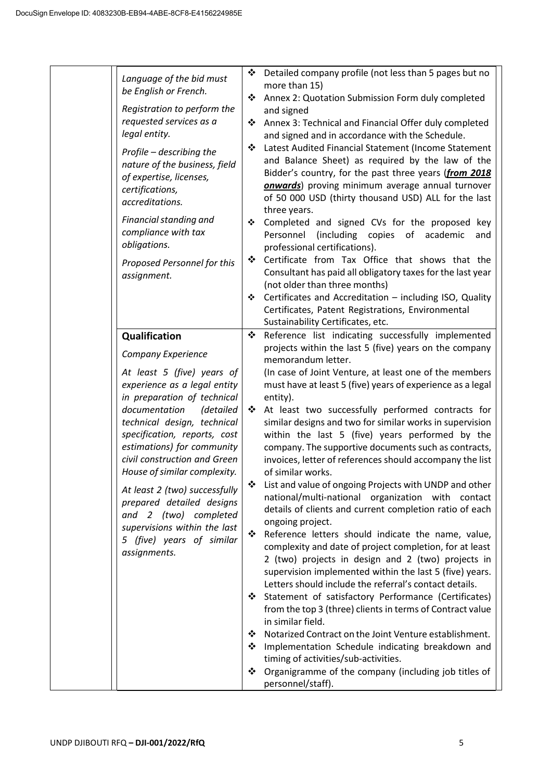|  | Language of the bid must<br>be English or French.<br>Registration to perform the<br>requested services as a<br>legal entity.<br>Profile - describing the<br>nature of the business, field<br>of expertise, licenses,<br>certifications,<br>accreditations.<br>Financial standing and<br>compliance with tax<br>obligations.<br>Proposed Personnel for this<br>assignment.                                                                                                                       | ❖<br>❖<br>❖<br>❖<br>❖<br>❖<br>❖ | Detailed company profile (not less than 5 pages but no<br>more than 15)<br>Annex 2: Quotation Submission Form duly completed<br>and signed<br>Annex 3: Technical and Financial Offer duly completed<br>and signed and in accordance with the Schedule.<br>Latest Audited Financial Statement (Income Statement<br>and Balance Sheet) as required by the law of the<br>Bidder's country, for the past three years (from 2018<br>onwards) proving minimum average annual turnover<br>of 50 000 USD (thirty thousand USD) ALL for the last<br>three years.<br>Completed and signed CVs for the proposed key<br>Personnel<br>(including copies of academic<br>and<br>professional certifications).<br>Certificate from Tax Office that shows that the<br>Consultant has paid all obligatory taxes for the last year<br>(not older than three months)<br>Certificates and Accreditation - including ISO, Quality<br>Certificates, Patent Registrations, Environmental                                                                                                              |
|--|-------------------------------------------------------------------------------------------------------------------------------------------------------------------------------------------------------------------------------------------------------------------------------------------------------------------------------------------------------------------------------------------------------------------------------------------------------------------------------------------------|---------------------------------|-------------------------------------------------------------------------------------------------------------------------------------------------------------------------------------------------------------------------------------------------------------------------------------------------------------------------------------------------------------------------------------------------------------------------------------------------------------------------------------------------------------------------------------------------------------------------------------------------------------------------------------------------------------------------------------------------------------------------------------------------------------------------------------------------------------------------------------------------------------------------------------------------------------------------------------------------------------------------------------------------------------------------------------------------------------------------------|
|  | Qualification<br>Company Experience<br>At least 5 (five) years of<br>experience as a legal entity<br>in preparation of technical<br>documentation<br>(detailed<br>technical design, technical<br>specification, reports, cost<br>estimations) for community<br>civil construction and Green<br>House of similar complexity.<br>At least 2 (two) successfully<br>prepared detailed designs<br>and 2 (two) completed<br>supervisions within the last<br>5 (five) years of similar<br>assignments. | ❖<br>❖<br>❖<br>❖                | Reference list indicating successfully implemented<br>projects within the last 5 (five) years on the company<br>memorandum letter.<br>(In case of Joint Venture, at least one of the members<br>must have at least 5 (five) years of experience as a legal<br>entity).<br>At least two successfully performed contracts for<br>similar designs and two for similar works in supervision<br>within the last 5 (five) years performed by the<br>company. The supportive documents such as contracts,<br>invoices, letter of references should accompany the list<br>of similar works.<br>List and value of ongoing Projects with UNDP and other<br>national/multi-national organization with contact<br>details of clients and current completion ratio of each<br>ongoing project.<br>Reference letters should indicate the name, value,<br>complexity and date of project completion, for at least<br>2 (two) projects in design and 2 (two) projects in<br>supervision implemented within the last 5 (five) years.<br>Letters should include the referral's contact details. |
|  |                                                                                                                                                                                                                                                                                                                                                                                                                                                                                                 | ❖<br>❖<br>❖<br>❖                | Statement of satisfactory Performance (Certificates)<br>from the top 3 (three) clients in terms of Contract value<br>in similar field.<br>Notarized Contract on the Joint Venture establishment.<br>Implementation Schedule indicating breakdown and<br>timing of activities/sub-activities.<br>Organigramme of the company (including job titles of<br>personnel/staff).                                                                                                                                                                                                                                                                                                                                                                                                                                                                                                                                                                                                                                                                                                     |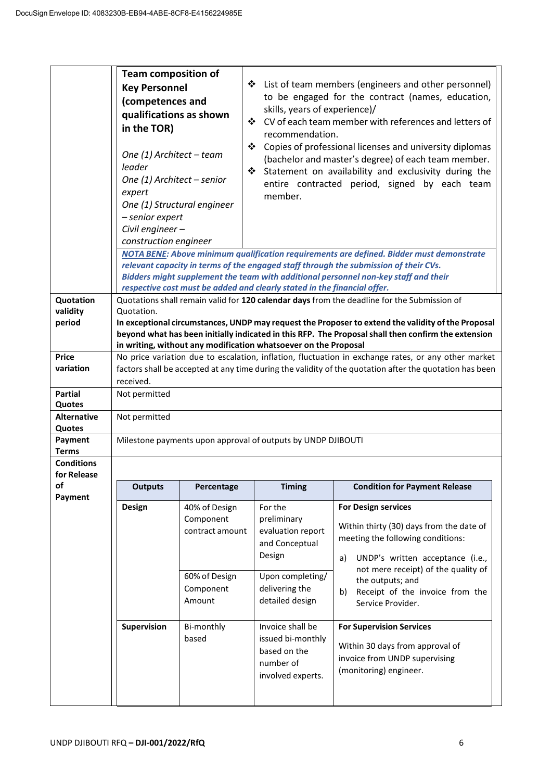|                                 | <b>Team composition of</b><br>❖ List of team members (engineers and other personnel)<br><b>Key Personnel</b><br>to be engaged for the contract (names, education,<br>(competences and<br>skills, years of experience)/<br>qualifications as shown<br>❖ CV of each team member with references and letters of<br>in the TOR)<br>recommendation.<br>❖<br>Copies of professional licenses and university diplomas<br>One (1) Architect - team<br>(bachelor and master's degree) of each team member.<br>leader<br>❖<br>Statement on availability and exclusivity during the<br>One (1) Architect - senior<br>entire contracted period, signed by each team<br>expert<br>member.<br>One (1) Structural engineer<br>- senior expert<br>Civil engineer-<br>construction engineer |                                      |                                                                                         |                                                                                                                                                                                                                                                                         |
|---------------------------------|----------------------------------------------------------------------------------------------------------------------------------------------------------------------------------------------------------------------------------------------------------------------------------------------------------------------------------------------------------------------------------------------------------------------------------------------------------------------------------------------------------------------------------------------------------------------------------------------------------------------------------------------------------------------------------------------------------------------------------------------------------------------------|--------------------------------------|-----------------------------------------------------------------------------------------|-------------------------------------------------------------------------------------------------------------------------------------------------------------------------------------------------------------------------------------------------------------------------|
|                                 |                                                                                                                                                                                                                                                                                                                                                                                                                                                                                                                                                                                                                                                                                                                                                                            |                                      |                                                                                         | NOTA BENE: Above minimum qualification requirements are defined. Bidder must demonstrate<br>relevant capacity in terms of the engaged staff through the submission of their CVs.<br>Bidders might supplement the team with additional personnel non-key staff and their |
| Quotation<br>validity<br>period | respective cost must be added and clearly stated in the financial offer.<br>Quotations shall remain valid for 120 calendar days from the deadline for the Submission of<br>Quotation.<br>In exceptional circumstances, UNDP may request the Proposer to extend the validity of the Proposal<br>beyond what has been initially indicated in this RFP. The Proposal shall then confirm the extension                                                                                                                                                                                                                                                                                                                                                                         |                                      |                                                                                         |                                                                                                                                                                                                                                                                         |
|                                 |                                                                                                                                                                                                                                                                                                                                                                                                                                                                                                                                                                                                                                                                                                                                                                            |                                      | in writing, without any modification whatsoever on the Proposal                         |                                                                                                                                                                                                                                                                         |
| <b>Price</b>                    |                                                                                                                                                                                                                                                                                                                                                                                                                                                                                                                                                                                                                                                                                                                                                                            |                                      |                                                                                         | No price variation due to escalation, inflation, fluctuation in exchange rates, or any other market                                                                                                                                                                     |
| variation                       |                                                                                                                                                                                                                                                                                                                                                                                                                                                                                                                                                                                                                                                                                                                                                                            |                                      |                                                                                         | factors shall be accepted at any time during the validity of the quotation after the quotation has been                                                                                                                                                                 |
|                                 | received.                                                                                                                                                                                                                                                                                                                                                                                                                                                                                                                                                                                                                                                                                                                                                                  |                                      |                                                                                         |                                                                                                                                                                                                                                                                         |
| <b>Partial</b><br>Quotes        | Not permitted                                                                                                                                                                                                                                                                                                                                                                                                                                                                                                                                                                                                                                                                                                                                                              |                                      |                                                                                         |                                                                                                                                                                                                                                                                         |
| <b>Alternative</b><br>Quotes    | Not permitted                                                                                                                                                                                                                                                                                                                                                                                                                                                                                                                                                                                                                                                                                                                                                              |                                      |                                                                                         |                                                                                                                                                                                                                                                                         |
| Payment<br><b>Terms</b>         |                                                                                                                                                                                                                                                                                                                                                                                                                                                                                                                                                                                                                                                                                                                                                                            |                                      | Milestone payments upon approval of outputs by UNDP DJIBOUTI                            |                                                                                                                                                                                                                                                                         |
| <b>Conditions</b>               |                                                                                                                                                                                                                                                                                                                                                                                                                                                                                                                                                                                                                                                                                                                                                                            |                                      |                                                                                         |                                                                                                                                                                                                                                                                         |
| for Release                     |                                                                                                                                                                                                                                                                                                                                                                                                                                                                                                                                                                                                                                                                                                                                                                            |                                      |                                                                                         |                                                                                                                                                                                                                                                                         |
| of                              | <b>Outputs</b>                                                                                                                                                                                                                                                                                                                                                                                                                                                                                                                                                                                                                                                                                                                                                             | Percentage                           | <b>Timing</b>                                                                           | <b>Condition for Payment Release</b>                                                                                                                                                                                                                                    |
| Payment                         | <b>Design</b>                                                                                                                                                                                                                                                                                                                                                                                                                                                                                                                                                                                                                                                                                                                                                              | 40% of Design                        | For the                                                                                 | <b>For Design services</b>                                                                                                                                                                                                                                              |
|                                 |                                                                                                                                                                                                                                                                                                                                                                                                                                                                                                                                                                                                                                                                                                                                                                            | Component<br>contract amount         | preliminary<br>evaluation report<br>and Conceptual<br>Design                            | Within thirty (30) days from the date of<br>meeting the following conditions:<br>UNDP's written acceptance (i.e.,<br>a)<br>not mere receipt) of the quality of                                                                                                          |
|                                 |                                                                                                                                                                                                                                                                                                                                                                                                                                                                                                                                                                                                                                                                                                                                                                            | 60% of Design<br>Component<br>Amount | Upon completing/<br>delivering the<br>detailed design                                   | the outputs; and<br>Receipt of the invoice from the<br>b)<br>Service Provider.                                                                                                                                                                                          |
|                                 | Supervision                                                                                                                                                                                                                                                                                                                                                                                                                                                                                                                                                                                                                                                                                                                                                                | Bi-monthly<br>based                  | Invoice shall be<br>issued bi-monthly<br>based on the<br>number of<br>involved experts. | <b>For Supervision Services</b><br>Within 30 days from approval of<br>invoice from UNDP supervising<br>(monitoring) engineer.                                                                                                                                           |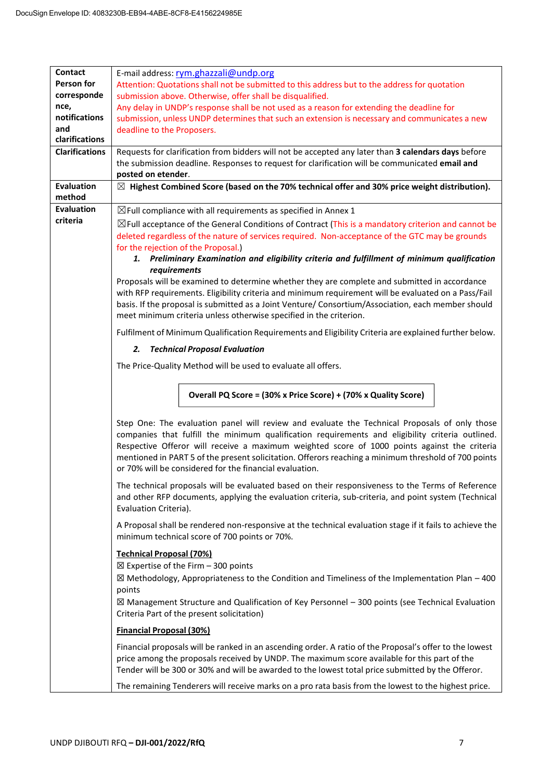| <b>Contact</b>        | E-mail address: rym.ghazzali@undp.org                                                                          |  |  |  |  |
|-----------------------|----------------------------------------------------------------------------------------------------------------|--|--|--|--|
| Person for            | Attention: Quotations shall not be submitted to this address but to the address for quotation                  |  |  |  |  |
| corresponde           | submission above. Otherwise, offer shall be disqualified.                                                      |  |  |  |  |
| nce,                  | Any delay in UNDP's response shall be not used as a reason for extending the deadline for                      |  |  |  |  |
| notifications         | submission, unless UNDP determines that such an extension is necessary and communicates a new                  |  |  |  |  |
| and                   | deadline to the Proposers.                                                                                     |  |  |  |  |
| clarifications        |                                                                                                                |  |  |  |  |
| <b>Clarifications</b> | Requests for clarification from bidders will not be accepted any later than 3 calendars days before            |  |  |  |  |
|                       | the submission deadline. Responses to request for clarification will be communicated email and                 |  |  |  |  |
|                       | posted on etender.                                                                                             |  |  |  |  |
| <b>Evaluation</b>     | $\boxtimes$ Highest Combined Score (based on the 70% technical offer and 30% price weight distribution).       |  |  |  |  |
| method                |                                                                                                                |  |  |  |  |
| <b>Evaluation</b>     | $\boxtimes$ Full compliance with all requirements as specified in Annex 1                                      |  |  |  |  |
| criteria              | $\boxtimes$ Full acceptance of the General Conditions of Contract (This is a mandatory criterion and cannot be |  |  |  |  |
|                       | deleted regardless of the nature of services required. Non-acceptance of the GTC may be grounds                |  |  |  |  |
|                       | for the rejection of the Proposal.)                                                                            |  |  |  |  |
|                       | 1. Preliminary Examination and eligibility criteria and fulfillment of minimum qualification                   |  |  |  |  |
|                       | requirements                                                                                                   |  |  |  |  |
|                       | Proposals will be examined to determine whether they are complete and submitted in accordance                  |  |  |  |  |
|                       | with RFP requirements. Eligibility criteria and minimum requirement will be evaluated on a Pass/Fail           |  |  |  |  |
|                       | basis. If the proposal is submitted as a Joint Venture/ Consortium/Association, each member should             |  |  |  |  |
|                       | meet minimum criteria unless otherwise specified in the criterion.                                             |  |  |  |  |
|                       | Fulfilment of Minimum Qualification Requirements and Eligibility Criteria are explained further below.         |  |  |  |  |
|                       | <b>Technical Proposal Evaluation</b><br>2.                                                                     |  |  |  |  |
|                       | The Price-Quality Method will be used to evaluate all offers.                                                  |  |  |  |  |
|                       |                                                                                                                |  |  |  |  |
|                       | Overall PQ Score = (30% x Price Score) + (70% x Quality Score)                                                 |  |  |  |  |
|                       |                                                                                                                |  |  |  |  |
|                       | Step One: The evaluation panel will review and evaluate the Technical Proposals of only those                  |  |  |  |  |
|                       | companies that fulfill the minimum qualification requirements and eligibility criteria outlined.               |  |  |  |  |
|                       | Respective Offeror will receive a maximum weighted score of 1000 points against the criteria                   |  |  |  |  |
|                       | mentioned in PART 5 of the present solicitation. Offerors reaching a minimum threshold of 700 points           |  |  |  |  |
|                       | or 70% will be considered for the financial evaluation.                                                        |  |  |  |  |
|                       | The technical proposals will be evaluated based on their responsiveness to the Terms of Reference              |  |  |  |  |
|                       | and other RFP documents, applying the evaluation criteria, sub-criteria, and point system (Technical           |  |  |  |  |
|                       | Evaluation Criteria).                                                                                          |  |  |  |  |
|                       | A Proposal shall be rendered non-responsive at the technical evaluation stage if it fails to achieve the       |  |  |  |  |
|                       | minimum technical score of 700 points or 70%.                                                                  |  |  |  |  |
|                       | <b>Technical Proposal (70%)</b>                                                                                |  |  |  |  |
|                       | $\boxtimes$ Expertise of the Firm - 300 points                                                                 |  |  |  |  |
|                       | $\boxtimes$ Methodology, Appropriateness to the Condition and Timeliness of the Implementation Plan - 400      |  |  |  |  |
|                       | points                                                                                                         |  |  |  |  |
|                       | $\boxtimes$ Management Structure and Qualification of Key Personnel - 300 points (see Technical Evaluation     |  |  |  |  |
|                       | Criteria Part of the present solicitation)                                                                     |  |  |  |  |
|                       | <b>Financial Proposal (30%)</b>                                                                                |  |  |  |  |
|                       | Financial proposals will be ranked in an ascending order. A ratio of the Proposal's offer to the lowest        |  |  |  |  |
|                       | price among the proposals received by UNDP. The maximum score available for this part of the                   |  |  |  |  |
|                       | Tender will be 300 or 30% and will be awarded to the lowest total price submitted by the Offeror.              |  |  |  |  |
|                       |                                                                                                                |  |  |  |  |
|                       | The remaining Tenderers will receive marks on a pro rata basis from the lowest to the highest price.           |  |  |  |  |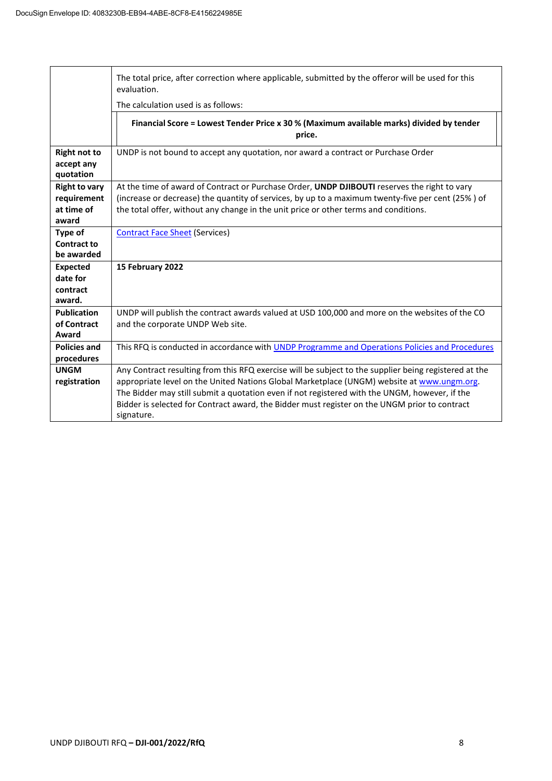|                      | The total price, after correction where applicable, submitted by the offeror will be used for this<br>evaluation. |  |  |
|----------------------|-------------------------------------------------------------------------------------------------------------------|--|--|
|                      | The calculation used is as follows:                                                                               |  |  |
|                      | Financial Score = Lowest Tender Price x 30 % (Maximum available marks) divided by tender<br>price.                |  |  |
| <b>Right not to</b>  | UNDP is not bound to accept any quotation, nor award a contract or Purchase Order                                 |  |  |
| accept any           |                                                                                                                   |  |  |
| quotation            |                                                                                                                   |  |  |
| <b>Right to vary</b> | At the time of award of Contract or Purchase Order, UNDP DJIBOUTI reserves the right to vary                      |  |  |
| requirement          | (increase or decrease) the quantity of services, by up to a maximum twenty-five per cent (25%) of                 |  |  |
| at time of<br>award  | the total offer, without any change in the unit price or other terms and conditions.                              |  |  |
| Type of              | <b>Contract Face Sheet (Services)</b>                                                                             |  |  |
| <b>Contract to</b>   |                                                                                                                   |  |  |
| be awarded           |                                                                                                                   |  |  |
| <b>Expected</b>      | 15 February 2022                                                                                                  |  |  |
| date for             |                                                                                                                   |  |  |
| contract             |                                                                                                                   |  |  |
| award.               |                                                                                                                   |  |  |
| <b>Publication</b>   | UNDP will publish the contract awards valued at USD 100,000 and more on the websites of the CO                    |  |  |
| of Contract          | and the corporate UNDP Web site.                                                                                  |  |  |
| Award                |                                                                                                                   |  |  |
| <b>Policies and</b>  | This RFQ is conducted in accordance with UNDP Programme and Operations Policies and Procedures                    |  |  |
| procedures           |                                                                                                                   |  |  |
| <b>UNGM</b>          | Any Contract resulting from this RFQ exercise will be subject to the supplier being registered at the             |  |  |
| registration         | appropriate level on the United Nations Global Marketplace (UNGM) website at www.ungm.org.                        |  |  |
|                      | The Bidder may still submit a quotation even if not registered with the UNGM, however, if the                     |  |  |
|                      | Bidder is selected for Contract award, the Bidder must register on the UNGM prior to contract                     |  |  |
|                      | signature.                                                                                                        |  |  |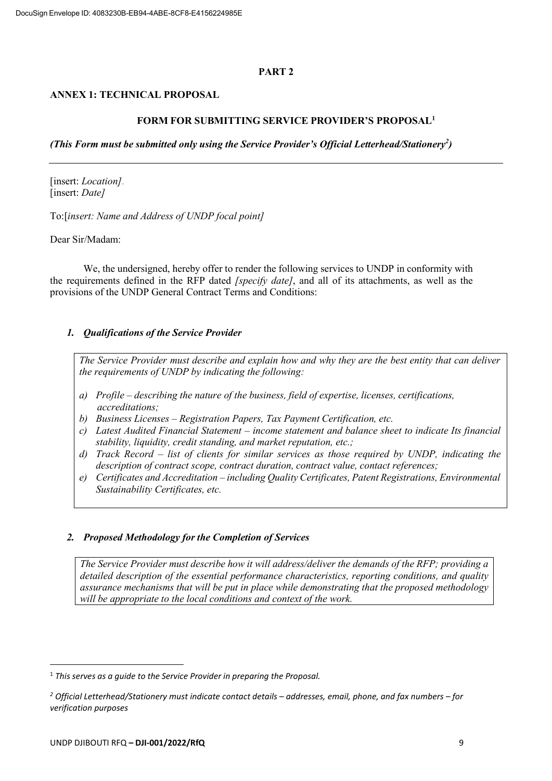#### **PART 2**

### **ANNEX 1: TECHNICAL PROPOSAL**

#### **FORM FOR SUBMITTING SERVICE PROVIDER'S PROPOSAL1**

*(This Form must be submitted only using the Service Provider's Official Letterhead/Stationery<sup>2</sup> )*

[insert: *Location]*. [insert: *Date]*

To:[*insert: Name and Address of UNDP focal point]*

Dear Sir/Madam:

We, the undersigned, hereby offer to render the following services to UNDP in conformity with the requirements defined in the RFP dated *[specify date]*, and all of its attachments, as well as the provisions of the UNDP General Contract Terms and Conditions:

### *1. Qualifications of the Service Provider*

The Service Provider must describe and explain how and why they are the best entity that can deliver *the requirements of UNDP by indicating the following:*

- *a) Profile – describing the nature of the business, field of expertise, licenses, certifications, accreditations;*
- *b) Business Licenses – Registration Papers, Tax Payment Certification, etc.*
- *c) Latest Audited Financial Statement – income statement and balance sheet to indicate Its financial stability, liquidity, credit standing, and market reputation, etc.;*
- *d) Track Record – list of clients for similar services as those required by UNDP, indicating the description of contract scope, contract duration, contract value, contact references;*
- *e) Certificates and Accreditation – including Quality Certificates, Patent Registrations, Environmental Sustainability Certificates, etc.*

### *2. Proposed Methodology for the Completion of Services*

*The Service Provider must describe how it will address/deliver the demands of the RFP; providing a detailed description of the essential performance characteristics, reporting conditions, and quality assurance mechanisms that will be put in place while demonstrating that the proposed methodology will be appropriate to the local conditions and context of the work.*

<sup>1</sup> *This serves as a guide to the Service Provider in preparing the Proposal.*

*<sup>2</sup> Official Letterhead/Stationery must indicate contact details – addresses, email, phone, and fax numbers – for verification purposes*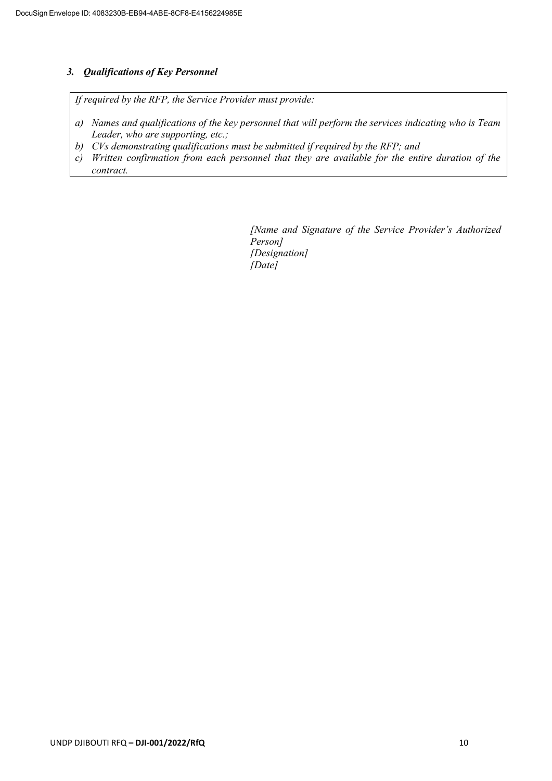# *3. Qualifications of Key Personnel*

*If required by the RFP, the Service Provider must provide:*

- *a) Names and qualifications of the key personnel that will perform the services indicating who is Team Leader, who are supporting, etc.;*
- *b) CVs demonstrating qualifications must be submitted if required by the RFP; and*
- *c) Written confirmation from each personnel that they are available for the entire duration of the contract.*

*[Name and Signature of the Service Provider's Authorized Person] [Designation] [Date]*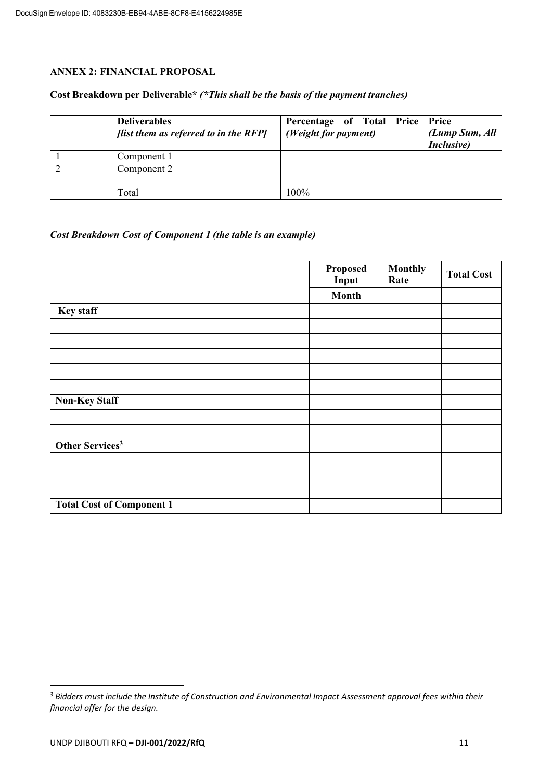## **ANNEX 2: FINANCIAL PROPOSAL**

### **Cost Breakdown per Deliverable\*** *(\*This shall be the basis of the payment tranches)*

| <b>Deliverables</b><br>[list them as referred to in the RFP] | Percentage of Total Price Price<br>(Weight for payment) | (Lump Sum, All<br>Inclusive) |
|--------------------------------------------------------------|---------------------------------------------------------|------------------------------|
| Component 1                                                  |                                                         |                              |
| Component 2                                                  |                                                         |                              |
|                                                              |                                                         |                              |
| Total                                                        | $100\%$                                                 |                              |

## *Cost Breakdown Cost of Component 1 (the table is an example)*

|                                  | Proposed<br>Input | <b>Monthly</b><br>Rate | <b>Total Cost</b> |
|----------------------------------|-------------------|------------------------|-------------------|
|                                  | <b>Month</b>      |                        |                   |
| <b>Key staff</b>                 |                   |                        |                   |
|                                  |                   |                        |                   |
|                                  |                   |                        |                   |
|                                  |                   |                        |                   |
|                                  |                   |                        |                   |
|                                  |                   |                        |                   |
| <b>Non-Key Staff</b>             |                   |                        |                   |
|                                  |                   |                        |                   |
|                                  |                   |                        |                   |
| Other Services <sup>3</sup>      |                   |                        |                   |
|                                  |                   |                        |                   |
|                                  |                   |                        |                   |
|                                  |                   |                        |                   |
| <b>Total Cost of Component 1</b> |                   |                        |                   |

*<sup>3</sup> Bidders must include the Institute of Construction and Environmental Impact Assessment approval fees within their financial offer for the design.*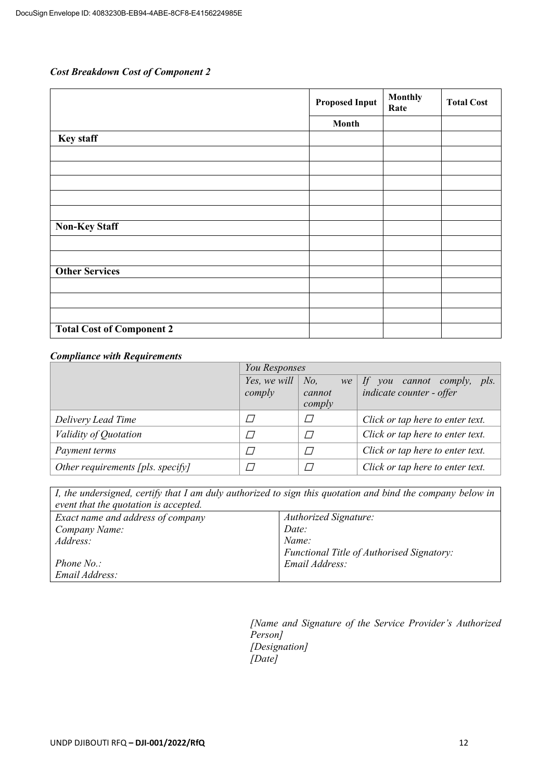# *Cost Breakdown Cost of Component 2*

|                                  | <b>Proposed Input</b> | <b>Monthly</b><br>Rate | <b>Total Cost</b> |
|----------------------------------|-----------------------|------------------------|-------------------|
|                                  | Month                 |                        |                   |
| <b>Key staff</b>                 |                       |                        |                   |
|                                  |                       |                        |                   |
|                                  |                       |                        |                   |
|                                  |                       |                        |                   |
|                                  |                       |                        |                   |
|                                  |                       |                        |                   |
| <b>Non-Key Staff</b>             |                       |                        |                   |
|                                  |                       |                        |                   |
|                                  |                       |                        |                   |
| <b>Other Services</b>            |                       |                        |                   |
|                                  |                       |                        |                   |
|                                  |                       |                        |                   |
|                                  |                       |                        |                   |
| <b>Total Cost of Component 2</b> |                       |                        |                   |

# *Compliance with Requirements*

|                                   | You Responses                  |                         |                                                                      |  |
|-----------------------------------|--------------------------------|-------------------------|----------------------------------------------------------------------|--|
|                                   | Yes, we will $\vert$<br>comply | No.<br>cannot<br>comply | we If you cannot comply, pls.<br>indicate counter - offer            |  |
| Delivery Lead Time                |                                |                         | Click or tap here to enter text.                                     |  |
| Validity of Quotation             |                                |                         | Click or tap here to enter text.<br>Click or tap here to enter text. |  |
| Payment terms                     |                                |                         |                                                                      |  |
| Other requirements [pls. specify] |                                |                         | Click or tap here to enter text.                                     |  |

| I, the undersigned, certify that I am duly authorized to sign this quotation and bind the company below in<br>event that the quotation is accepted. |                                           |  |  |
|-----------------------------------------------------------------------------------------------------------------------------------------------------|-------------------------------------------|--|--|
| Exact name and address of company                                                                                                                   | <b>Authorized Signature:</b>              |  |  |
| Company Name:                                                                                                                                       | Date:                                     |  |  |
| Address:                                                                                                                                            | Name:                                     |  |  |
|                                                                                                                                                     | Functional Title of Authorised Signatory: |  |  |
| Phone $No.$ :                                                                                                                                       | Email Address:                            |  |  |
| Email Address:                                                                                                                                      |                                           |  |  |

*[Name and Signature of the Service Provider's Authorized Person] [Designation] [Date]*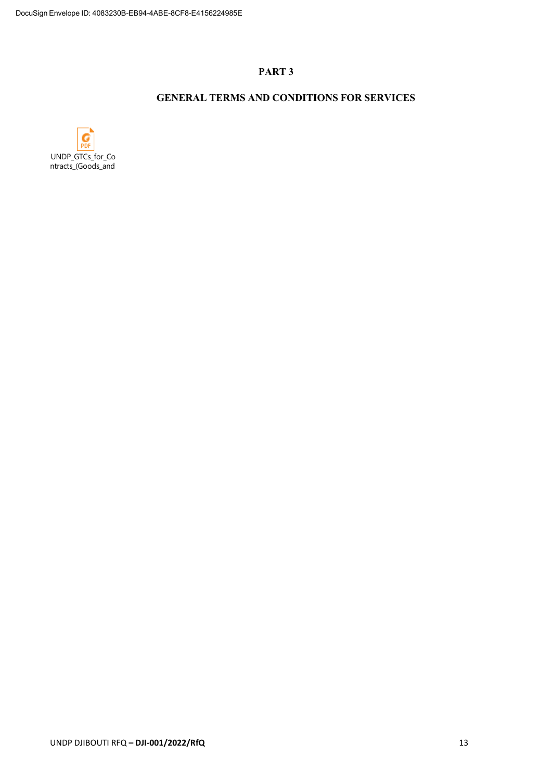## **PART 3**

# **GENERAL TERMS AND CONDITIONS FOR SERVICES**

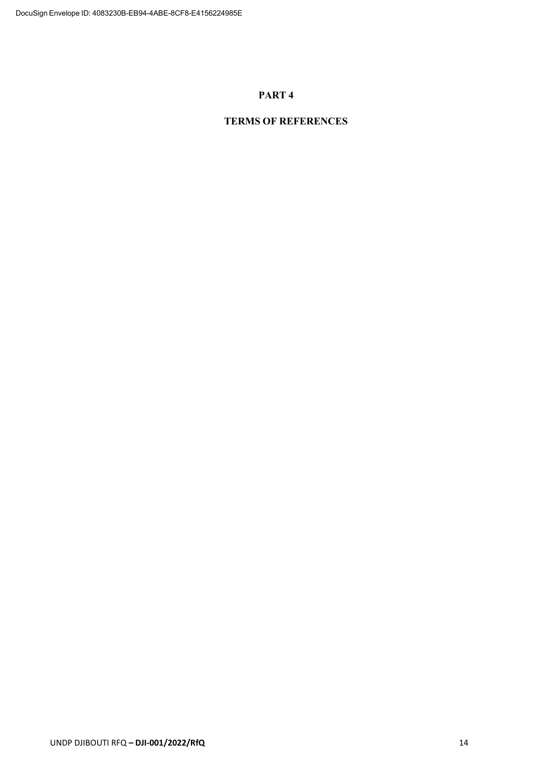### **PART 4**

# **TERMS OF REFERENCES**

UNDP DJIBOUTI RFQ **– DJI-001/2022/RfQ** 14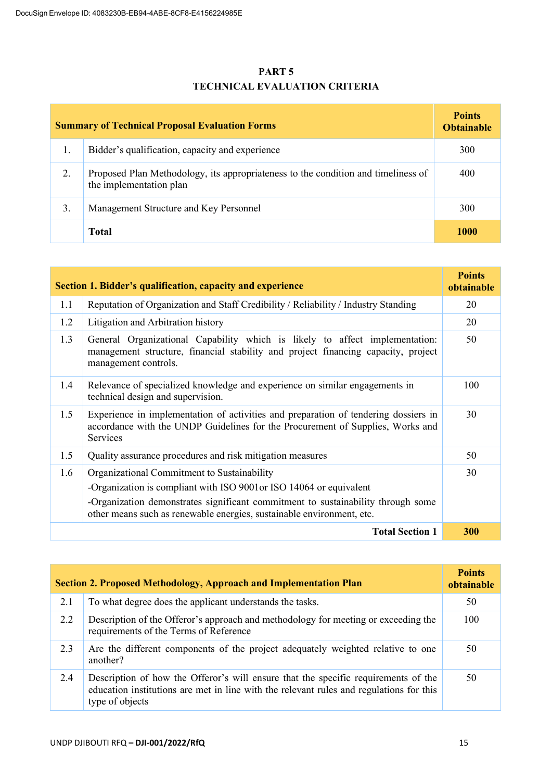# **PART 5 TECHNICAL EVALUATION CRITERIA**

| <b>Summary of Technical Proposal Evaluation Forms</b> |                                                                                                              | <b>Points</b><br><b>Obtainable</b> |
|-------------------------------------------------------|--------------------------------------------------------------------------------------------------------------|------------------------------------|
| 1.                                                    | Bidder's qualification, capacity and experience                                                              | 300                                |
| 2.                                                    | Proposed Plan Methodology, its appropriateness to the condition and timeliness of<br>the implementation plan | 400                                |
| 3.                                                    | Management Structure and Key Personnel                                                                       | 300                                |
|                                                       | <b>Total</b>                                                                                                 | 1000                               |

| Section 1. Bidder's qualification, capacity and experience |                                                                                                                                                                                                                                                                                 | <b>Points</b><br>obtainable |
|------------------------------------------------------------|---------------------------------------------------------------------------------------------------------------------------------------------------------------------------------------------------------------------------------------------------------------------------------|-----------------------------|
| 1.1                                                        | Reputation of Organization and Staff Credibility / Reliability / Industry Standing                                                                                                                                                                                              | 20                          |
| 1.2                                                        | Litigation and Arbitration history                                                                                                                                                                                                                                              | 20                          |
| 1.3                                                        | General Organizational Capability which is likely to affect implementation:<br>management structure, financial stability and project financing capacity, project<br>management controls.                                                                                        | 50                          |
| 1.4                                                        | Relevance of specialized knowledge and experience on similar engagements in<br>technical design and supervision.                                                                                                                                                                | 100                         |
| 1.5                                                        | Experience in implementation of activities and preparation of tendering dossiers in<br>accordance with the UNDP Guidelines for the Procurement of Supplies, Works and<br><b>Services</b>                                                                                        | 30                          |
| 1.5                                                        | Quality assurance procedures and risk mitigation measures                                                                                                                                                                                                                       | 50                          |
| 1.6                                                        | Organizational Commitment to Sustainability<br>-Organization is compliant with ISO 9001 or ISO 14064 or equivalent<br>-Organization demonstrates significant commitment to sustainability through some<br>other means such as renewable energies, sustainable environment, etc. | 30                          |
|                                                            | <b>Total Section 1</b>                                                                                                                                                                                                                                                          | 300                         |

| <b>Section 2. Proposed Methodology, Approach and Implementation Plan</b> |                                                                                                                                                                                                  | <b>Points</b><br>obtainable |
|--------------------------------------------------------------------------|--------------------------------------------------------------------------------------------------------------------------------------------------------------------------------------------------|-----------------------------|
| 2.1                                                                      | To what degree does the applicant understands the tasks.                                                                                                                                         | 50                          |
| 2.2                                                                      | Description of the Offeror's approach and methodology for meeting or exceeding the<br>requirements of the Terms of Reference                                                                     | 100                         |
| 2.3                                                                      | Are the different components of the project adequately weighted relative to one<br>another?                                                                                                      | 50                          |
| 2.4                                                                      | Description of how the Offeror's will ensure that the specific requirements of the<br>education institutions are met in line with the relevant rules and regulations for this<br>type of objects | 50                          |